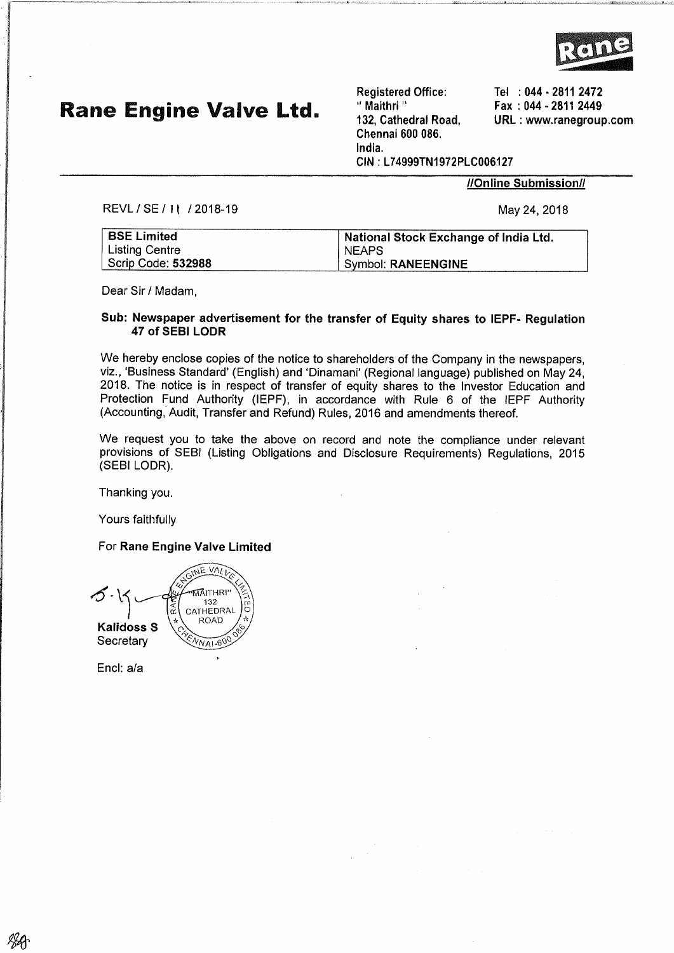

# Rane Engine Valve Ltd.

Registered Office: " Maithri " 132, Cathedral Road, Chennai 600 086, lndia. CIN : 174999TN1972PLC006127

**//Online Submission//** 

Tel : 044 - 2811 2472  $Fax : 044 - 28112449$ URL : www.ranegroup.com

REVL / SE / I | / 2018-19 May 24, 2018

| <b>BSE Limited</b>    | National Stock Exchange of India Ltd. |
|-----------------------|---------------------------------------|
| <b>Listing Centre</b> | <b>NEAPS</b>                          |
| Scrip Code: 532988    | Symbol: RANEENGINE                    |

Dear Sir / Madam,

#### Sub: Newspaper advertisement for the transfer of Equity shares to IEPF- Reguletion 47 of SEBI LODR

We hereby enclose copies of the notice to shareholders of the Company iñ the newspapers, viz., 'Business Standard' (English) and 'Dinamani' (Regional language) published on May 24, 2018. The notice is in respect of transfer of equity shares to the lnvestor Education and Protection Fund Authority (IEPF), in accordance with Rule 6 of the IEPF Authority (Accounting, Audit, Transfer and Refund) Rules, 2016 and amendments thereof.

We request you to take the above on record and note the compliance under relevant provisions of SEBI (Listing Obllgatlons and Disclosure Requirements) Regulations, 2015 (sEBr LODR).

Thanking you.

Yours faithfully

For Rane Engine Valve Limited

VALI ۸F  $\mathcal{S}\cdot$ MAITHRI<br>132  $\frac{R}{N}$  CATHEDRAL Kalidoss S **Secretary** 

Encl: a/a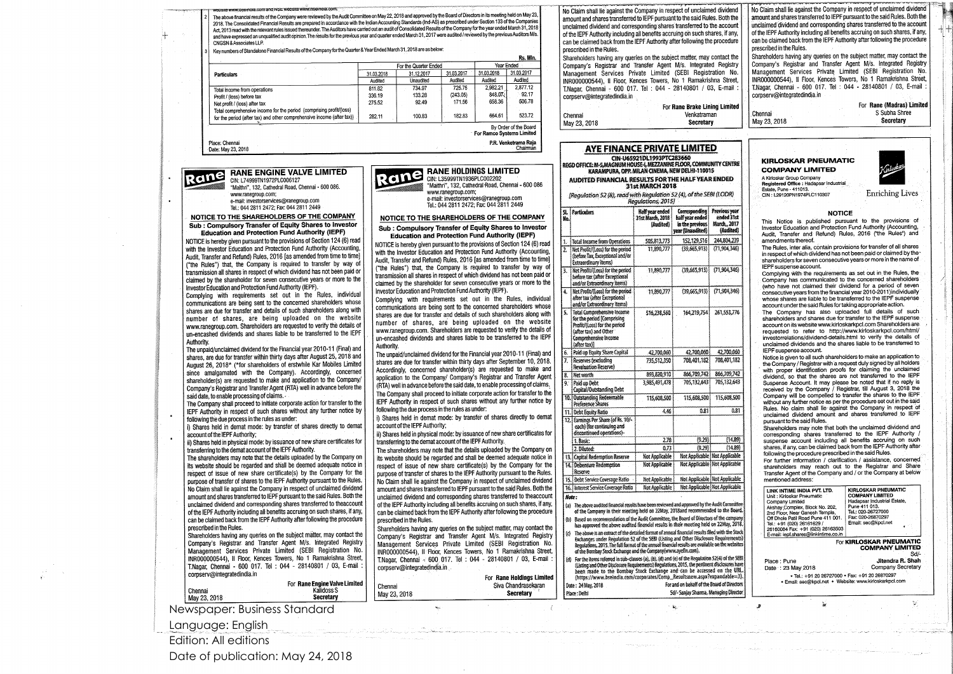### **RANE ENGINE VALVE LIMITED**

CIN: L74999TN1972PLC006127 "Maithri", 132, Cathedral Road, Chennai - 600 086. www.ranegroup.com: e-mail: investorservices@ranegroup.com Tel.: 044 2811 2472; Fax: 044 2811 2449

NOTICE TO THE SHAREHOLDERS OF THE COMPANY Sub : Compulsory Transfer of Equity Shares to Investor **Education and Protection Fund Authority (IEPF)** 

ane

NOTICE is hereby given pursuant to the provisions of Section 124 (6) read with the Investor Education and Protection Fund Authority (Accounting, Audit, Transfer and Refund) Rules, 2016 [as amended from time to time] ("the Rules") that, the Company is required to transfer by way of transmission all shares in respect of which dividend has not been paid or claimed by the shareholder for seven consecutive years or more to the Investor Education and Protection Fund Authority (IEPF).

Complying with requirements set out in the Rules, individual communications are being sent to the concerned shareholders whose shares are due for transfer and details of such shareholders along with number of shares, are being uploaded on the website www.ranegroup.com. Shareholders are requested to verify the details of un-encashed dividends and shares liable to be transferred to the IEPF Authority.

The unpaid/unclaimed dividend for the Financial year 2010-11 (Final) and shares, are due for transfer within thirty days after August 25, 2018 and August 26, 2018\* (\*for shareholders of erstwhile Kar Mobiles Limited since amalgamated with the Company). Accordingly, concerned shareholder(s) are requested to make and application to the Company/ Company's Registrar and Transfer Agent (RTA) well in advance before the said date, to enable processing of claims.

The Company shall proceed to initiate corporate action for transfer to the IEPF Authority in respect of such shares without any further notice by following the due process in the rules as under:

i) Shares held in demat mode: by transfer of shares directly to demat account of the IEPF Authority;

ii) Shares held in physical mode: by issuance of new share certificates for transferring to the demat account of the IEPF Authority.

The shareholders may note that the details uploaded by the Company on its website should be regarded and shall be deemed adequate notice in respect of issue of new share certificate(s) by the Company for the purpose of transfer of shares to the IEPF Authority-pursuant to the Rules. No Claim shall lie against the Company in respect of unclaimed dividend amount and shares transferred to IEPF pursuant to the said Rules. Both the unclaimed dividend and corresponding shares transferred to theaccount of the IEPF Authority including all benefits accruing on such shares, if any, can be claimed back from the IEPF Authority after following the procedure prescribed in the Rules.

Shareholders having any queries on the subject matter, may contact the Company's Registrar and Transfer Agent M/s. Integrated Registry Management Services Private Limited (SEBI Registration No. INR000000544), Il Floor, Kences Towers, No 1 Ramakrishna Street, T.Nagar, Chennai - 600 017. Tel : 044 - 28140801 / 03, E-mail : corpserv@integratedindia.in

Chennai May 23, 2018 For Rane Engine Valve Limited Kalidoss S **Secretary** 

Newspaper: Business Standard

Language: English

Edition: All editions

Date of publication: May 24, 2018